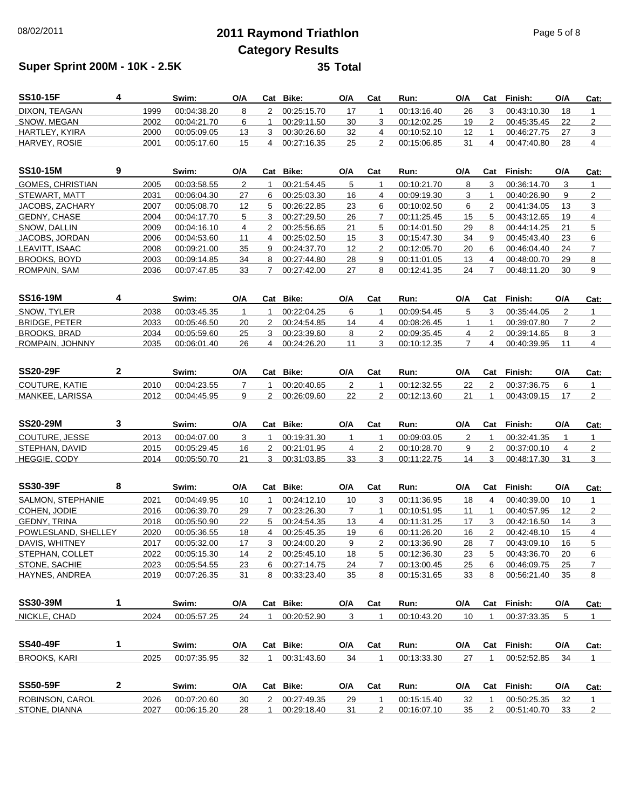## 08/02/2011 **2011 Raymond Triathlon** Page 5 of 8 **Category Results**

## **Super Sprint 200M - 10K - 2.5K**

| 35 | Total |
|----|-------|
|----|-------|

| <b>SS10-15F</b>          | 4            |      | Swim:       | O/A                     |                | Cat Bike:   | O/A            | Cat            | Run:        | O/A                     | Cat            | Finish:     | O/A            | Cat:                    |
|--------------------------|--------------|------|-------------|-------------------------|----------------|-------------|----------------|----------------|-------------|-------------------------|----------------|-------------|----------------|-------------------------|
| DIXON, TEAGAN            |              | 1999 | 00:04:38.20 | 8                       | $\overline{2}$ | 00:25:15.70 | 17             | $\mathbf{1}$   | 00:13:16.40 | 26                      | 3              | 00:43:10.30 | 18             | $\mathbf{1}$            |
| SNOW, MEGAN              |              | 2002 | 00:04:21.70 | 6                       | 1              | 00:29:11.50 | 30             | 3              | 00:12:02.25 | 19                      | 2              | 00:45:35.45 | 22             | $\overline{2}$          |
| HARTLEY, KYIRA           |              | 2000 | 00:05:09.05 | 13                      | 3              | 00:30:26.60 | 32             | 4              | 00:10:52.10 | 12                      | $\mathbf{1}$   | 00:46:27.75 | 27             | 3                       |
| HARVEY, ROSIE            |              | 2001 | 00:05:17.60 | 15                      | 4              | 00:27:16.35 | 25             | $\overline{2}$ | 00:15:06.85 | 31                      | $\overline{4}$ | 00:47:40.80 | 28             | 4                       |
| <b>SS10-15M</b>          | 9            |      | Swim:       | O/A                     |                | Cat Bike:   | O/A            | Cat            | Run:        | $\mathsf{O}/\mathsf{A}$ | Cat            | Finish:     | O/A            | Cat:                    |
| <b>GOMES, CHRISTIAN</b>  |              | 2005 | 00:03:58.55 | $\overline{c}$          | $\mathbf{1}$   | 00:21:54.45 | 5              | 1              | 00:10:21.70 | 8                       | 3              | 00:36:14.70 | 3              | $\mathbf{1}$            |
| STEWART, MATT            |              | 2031 | 00:06:04.30 | 27                      | 6              | 00:25:03.30 | 16             | 4              | 00:09:19.30 | 3                       | $\mathbf{1}$   | 00:40:26.90 | 9              | $\overline{2}$          |
| JACOBS, ZACHARY          |              | 2007 | 00:05:08.70 | 12                      | 5              | 00:26:22.85 | 23             | 6              | 00:10:02.50 | 6                       | 2              | 00:41:34.05 | 13             | 3                       |
| <b>GEDNY, CHASE</b>      |              | 2004 | 00:04:17.70 | 5                       | 3              | 00:27:29.50 | 26             | 7              | 00:11:25.45 | 15                      | 5              | 00:43:12.65 | 19             | 4                       |
| SNOW, DALLIN             |              | 2009 | 00:04:16.10 | $\overline{\mathbf{4}}$ | 2              | 00:25:56.65 | 21             | 5              | 00:14:01.50 | 29                      | 8              | 00:44:14.25 | 21             | 5                       |
| JACOBS, JORDAN           |              | 2006 | 00:04:53.60 | 11                      | 4              | 00:25:02.50 | 15             | 3              | 00:15:47.30 | 34                      | 9              | 00:45:43.40 | 23             | 6                       |
| LEAVITT, ISAAC           |              | 2008 | 00:09:21.00 | 35                      | 9              | 00:24:37.70 | 12             | 2              | 00:12:05.70 | 20                      | 6              | 00:46:04.40 | 24             | $\overline{7}$          |
| <b>BROOKS, BOYD</b>      |              | 2003 | 00:09:14.85 | 34                      | 8              | 00:27:44.80 | 28             | 9              | 00:11:01.05 | 13                      | 4              | 00:48:00.70 | 29             | 8                       |
| ROMPAIN, SAM             |              | 2036 | 00:07:47.85 | 33                      | $\overline{7}$ | 00:27:42.00 | 27             | 8              | 00:12:41.35 | 24                      | $\overline{7}$ | 00:48:11.20 | 30             | 9                       |
|                          |              |      |             |                         |                |             |                |                |             |                         |                |             |                |                         |
| <b>SS16-19M</b>          | 4            |      | Swim:       | O/A                     |                | Cat Bike:   | O/A            | Cat            | Run:        | O/A                     | Cat            | Finish:     | O/A            | Cat:                    |
| SNOW, TYLER              |              | 2038 | 00:03:45.35 | $\mathbf{1}$            | 1              | 00:22:04.25 | 6              | 1              | 00:09:54.45 | 5                       | 3              | 00:35:44.05 | 2              | $\mathbf{1}$            |
| <b>BRIDGE, PETER</b>     |              | 2033 | 00:05:46.50 | 20                      | $\overline{2}$ | 00:24:54.85 | 14             | 4              | 00:08:26.45 | $\mathbf{1}$            | $\mathbf{1}$   | 00:39:07.80 | $\overline{7}$ | $\overline{\mathbf{c}}$ |
| <b>BROOKS, BRAD</b>      |              | 2034 | 00:05:59.60 | 25                      | 3              | 00:23:39.60 | 8              | $\overline{2}$ | 00:09:35.45 | 4                       | $\overline{2}$ | 00:39:14.65 | 8              | 3                       |
| ROMPAIN, JOHNNY          |              | 2035 | 00:06:01.40 | 26                      | 4              | 00:24:26.20 | 11             | 3              | 00:10:12.35 | $\overline{7}$          | $\overline{4}$ | 00:40:39.95 | 11             | $\overline{4}$          |
|                          |              |      |             |                         |                |             |                |                |             |                         |                |             |                |                         |
| <b>SS20-29F</b>          | $\mathbf{2}$ |      | Swim:       | O/A                     |                | Cat Bike:   | O/A            | Cat            | Run:        | O/A                     | Cat            | Finish:     | O/A            | Cat:                    |
| <b>COUTURE, KATIE</b>    |              | 2010 | 00:04:23.55 | $\overline{7}$          | 1              | 00:20:40.65 | $\overline{2}$ | 1              | 00:12:32.55 | 22                      | $\overline{2}$ | 00:37:36.75 | 6              | $\mathbf{1}$            |
| MANKEE, LARISSA          |              | 2012 | 00:04:45.95 | 9                       | $\overline{2}$ | 00:26:09.60 | 22             | 2              | 00:12:13.60 | 21                      | $\mathbf{1}$   | 00:43:09.15 | 17             | $\overline{2}$          |
| <b>SS20-29M</b>          | 3            |      | Swim:       | O/A                     |                | Cat Bike:   | O/A            | Cat            | Run:        | O/A                     | Cat            | Finish:     | O/A            | Cat:                    |
| COUTURE, JESSE           |              | 2013 | 00:04:07.00 | 3                       | $\mathbf{1}$   | 00:19:31.30 | $\mathbf{1}$   | $\mathbf{1}$   | 00:09:03.05 | $\overline{2}$          | $\mathbf{1}$   | 00:32:41.35 | $\mathbf{1}$   | $\mathbf{1}$            |
| STEPHAN, DAVID           |              | 2015 | 00:05:29.45 | 16                      | 2              | 00:21:01.95 | 4              | 2              | 00:10:28.70 | 9                       | $\overline{2}$ | 00:37:00.10 | 4              | $\overline{\mathbf{c}}$ |
| <b>HEGGIE, CODY</b>      |              | 2014 | 00:05:50.70 | 21                      | 3              | 00:31:03.85 | 33             | 3              | 00:11:22.75 | 14                      | 3              | 00:48:17.30 | 31             | 3                       |
|                          |              |      |             |                         |                |             |                |                |             |                         |                |             |                |                         |
| <b>SS30-39F</b>          | 8            |      | Swim:       | O/A                     |                | Cat Bike:   | O/A            | Cat            | Run:        | O/A                     | Cat            | Finish:     | O/A            | Cat:                    |
| <b>SALMON, STEPHANIE</b> |              | 2021 | 00:04:49.95 | 10                      | 1              | 00:24:12.10 | 10             | 3              | 00:11:36.95 | 18                      | 4              | 00:40:39.00 | 10             | $\mathbf{1}$            |
| COHEN, JODIE             |              | 2016 | 00:06:39.70 | 29                      | 7              | 00:23:26.30 | $\overline{7}$ | $\mathbf{1}$   | 00:10:51.95 | 11                      | $\mathbf{1}$   | 00:40:57.95 | 12             | 2                       |
| <b>GEDNY, TRINA</b>      |              | 2018 | 00:05:50.90 | 22                      | 5              | 00:24:54.35 | 13             | $\overline{4}$ | 00:11:31.25 | 17                      | 3              | 00:42:16.50 | 14             | 3                       |
| POWLESLAND, SHELLEY      |              | 2020 | 00:05:36.55 | 18                      | 4              | 00:25:45.35 | 19             | 6              | 00:11:26.20 | 16                      | 2              | 00:42:48.10 | 15             | $\overline{4}$          |
| DAVIS, WHITNEY           |              | 2017 | 00:05:32.00 | 17                      | 3              | 00:24:00.20 | 9              | 2              | 00:13:36.90 | 28                      | $\overline{7}$ | 00:43:09.10 | 16             | 5                       |
| STEPHAN, COLLET          |              | 2022 | 00:05:15.30 | 14                      | 2              | 00:25:45.10 | 18             | 5              | 00:12:36.30 | 23                      | 5              | 00:43:36.70 | 20             | 6                       |
| STONE, SACHIE            |              | 2023 | 00:05:54.55 | 23                      | 6              | 00:27:14.75 | 24             | $\overline{7}$ | 00:13:00.45 | 25                      | 6              | 00:46:09.75 | 25             | $\overline{7}$          |
| HAYNES, ANDREA           |              | 2019 | 00:07:26.35 | 31                      | 8              | 00:33:23.40 | 35             | 8              | 00:15:31.65 | 33                      | 8              | 00:56:21.40 | 35             | 8                       |

| <b>SS30-39M</b>     |   |      | Swim:       | O/A | Cat | Bike:       | O/A | Cat | Run:        | O/A | Cat | Finish:     | O/A | Cat: |
|---------------------|---|------|-------------|-----|-----|-------------|-----|-----|-------------|-----|-----|-------------|-----|------|
| NICKLE, CHAD        |   | 2024 | 00:05:57.25 | 24  |     | 00:20:52.90 | 3   |     | 00:10:43.20 | 10  |     | 00:37:33.35 | 5   |      |
| <b>SS40-49F</b>     |   |      | Swim:       | O/A | Cat | Bike:       | O/A | Cat | Run:        | O/A | Cat | Finish:     | O/A | Cat: |
| <b>BROOKS, KARI</b> |   | 2025 | 00:07:35.95 | 32  |     | 00:31:43.60 | 34  |     | 00:13:33.30 | -27 |     | 00:52:52.85 | 34  |      |
| <b>SS50-59F</b>     | 2 |      | Swim:       | O/A | Cat | Bike:       | O/A | Cat | Run:        | O/A | Cat | Finish:     | O/A | Cat: |
| ROBINSON, CAROL     |   | 2026 | 00:07:20.60 | 30  |     | 00:27:49.35 | 29  |     | 00:15:15.40 | 32  |     | 00:50:25.35 | 32  |      |
| STONE, DIANNA       |   | 2027 | 00:06:15.20 | 28  |     | 00:29:18.40 | 31  | 2   | 00:16:07.10 | 35  |     | 00:51:40.70 | 33  | 2    |